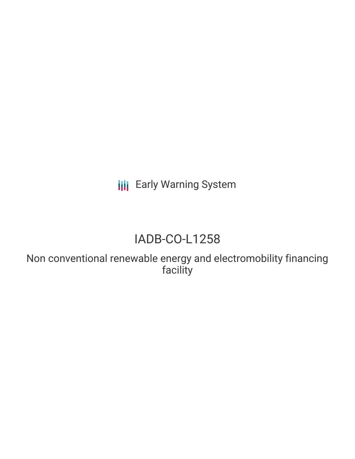**III** Early Warning System

# IADB-CO-L1258

Non conventional renewable energy and electromobility financing facility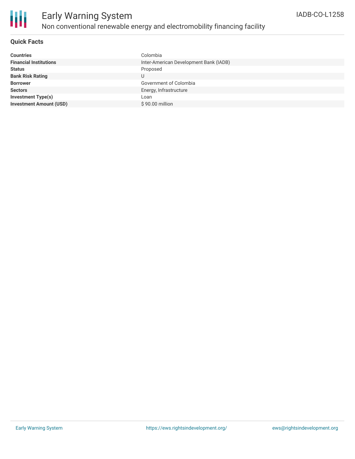

### Early Warning System Non conventional renewable energy and electromobility financing facility

#### **Quick Facts**

| <b>Countries</b>               | Colombia                               |
|--------------------------------|----------------------------------------|
| <b>Financial Institutions</b>  | Inter-American Development Bank (IADB) |
| <b>Status</b>                  | Proposed                               |
| <b>Bank Risk Rating</b>        |                                        |
| <b>Borrower</b>                | Government of Colombia                 |
| <b>Sectors</b>                 | Energy, Infrastructure                 |
| <b>Investment Type(s)</b>      | Loan                                   |
| <b>Investment Amount (USD)</b> | \$90.00 million                        |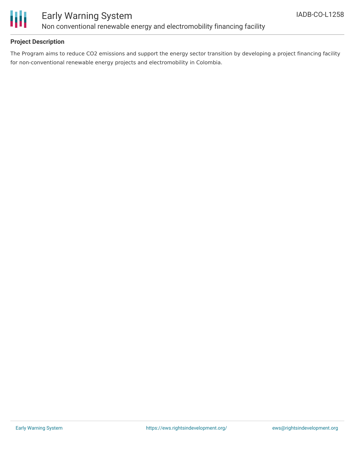

### Early Warning System Non conventional renewable energy and electromobility financing facility

### **Project Description**

The Program aims to reduce CO2 emissions and support the energy sector transition by developing a project financing facility for non-conventional renewable energy projects and electromobility in Colombia.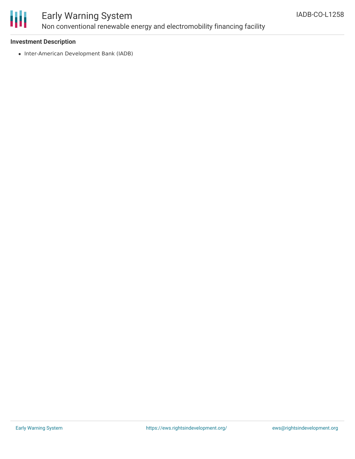

### Early Warning System Non conventional renewable energy and electromobility financing facility

#### **Investment Description**

• Inter-American Development Bank (IADB)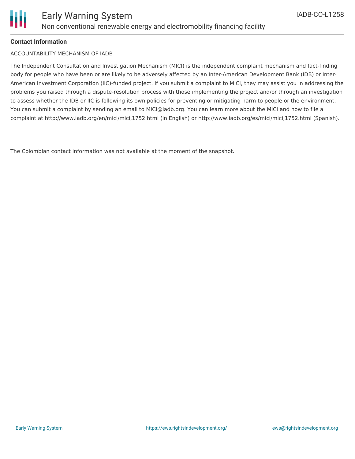### **Contact Information**

ACCOUNTABILITY MECHANISM OF IADB

The Independent Consultation and Investigation Mechanism (MICI) is the independent complaint mechanism and fact-finding body for people who have been or are likely to be adversely affected by an Inter-American Development Bank (IDB) or Inter-American Investment Corporation (IIC)-funded project. If you submit a complaint to MICI, they may assist you in addressing the problems you raised through a dispute-resolution process with those implementing the project and/or through an investigation to assess whether the IDB or IIC is following its own policies for preventing or mitigating harm to people or the environment. You can submit a complaint by sending an email to MICI@iadb.org. You can learn more about the MICI and how to file a complaint at http://www.iadb.org/en/mici/mici,1752.html (in English) or http://www.iadb.org/es/mici/mici,1752.html (Spanish).

The Colombian contact information was not available at the moment of the snapshot.